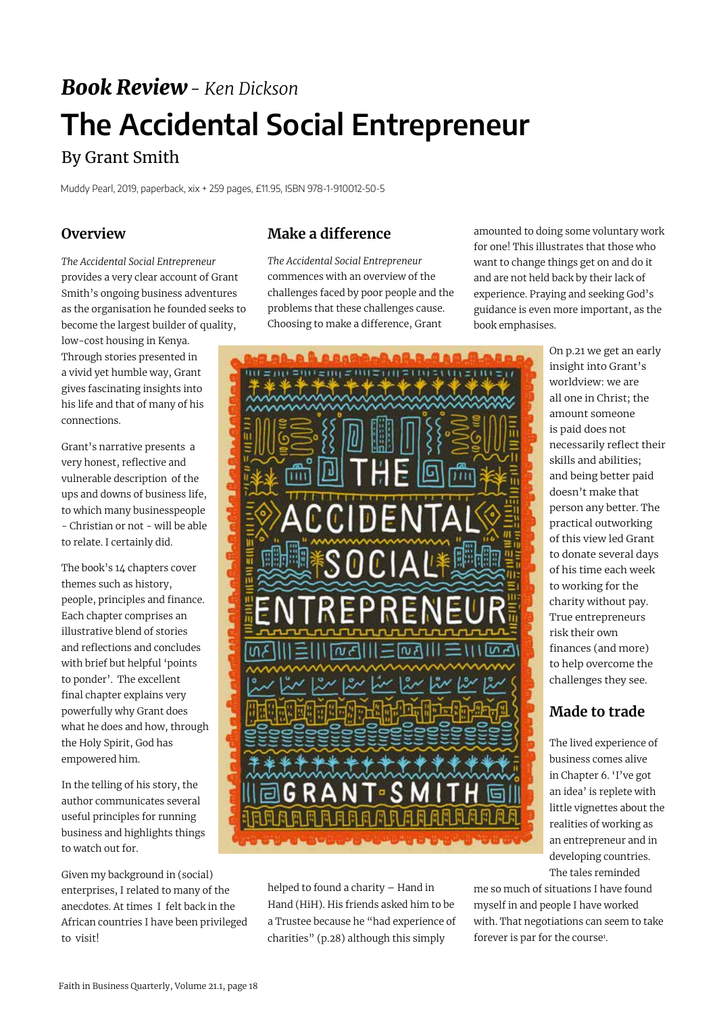# *Book Review- Ken Dickson* **The Accidental Social Entrepreneur**

## By Grant Smith

Muddy Pearl, 2019, paperback, xix + 259 pages, £11.95, ISBN 978-1-910012-50-5

#### **Overview**

*The Accidental Social Entrepreneur* provides a very clear account of Grant Smith's ongoing business adventures as the organisation he founded seeks to become the largest builder of quality, low-cost housing in Kenya. Through stories presented in a vivid yet humble way, Grant gives fascinating insights into his life and that of many of his connections.

Grant's narrative presents a very honest, reflective and vulnerable description of the ups and downs of business life, to which many businesspeople - Christian or not - will be able to relate. I certainly did.

The book's 14 chapters cover themes such as history, people, principles and finance. Each chapter comprises an illustrative blend of stories and reflections and concludes with brief but helpful 'points to ponder'. The excellent final chapter explains very powerfully why Grant does what he does and how, through the Holy Spirit, God has empowered him.

In the telling of his story, the author communicates several useful principles for running business and highlights things to watch out for.

Given my background in (social) enterprises, I related to many of the anecdotes. At times I felt back in the African countries I have been privileged to visit!

#### **Make a difference**

*The Accidental Social Entrepreneur*  commences with an overview of the challenges faced by poor people and the problems that these challenges cause. Choosing to make a difference, Grant

amounted to doing some voluntary work for one! This illustrates that those who want to change things get on and do it and are not held back by their lack of experience. Praying and seeking God's guidance is even more important, as the book emphasises.



helped to found a charity – Hand in Hand (HiH). His friends asked him to be a Trustee because he "had experience of charities" (p.28) although this simply

On p.21 we get an early insight into Grant's worldview: we are all one in Christ; the amount someone is paid does not necessarily reflect their skills and abilities; and being better paid doesn't make that person any better. The practical outworking of this view led Grant to donate several days of his time each week to working for the charity without pay. True entrepreneurs risk their own finances (and more) to help overcome the challenges they see.

### **Made to trade**

The lived experience of business comes alive in Chapter 6. 'I've got an idea' is replete with little vignettes about the realities of working as an entrepreneur and in developing countries. The tales reminded

me so much of situations I have found myself in and people I have worked with. That negotiations can seem to take forever is par for the course<sup>1</sup>.